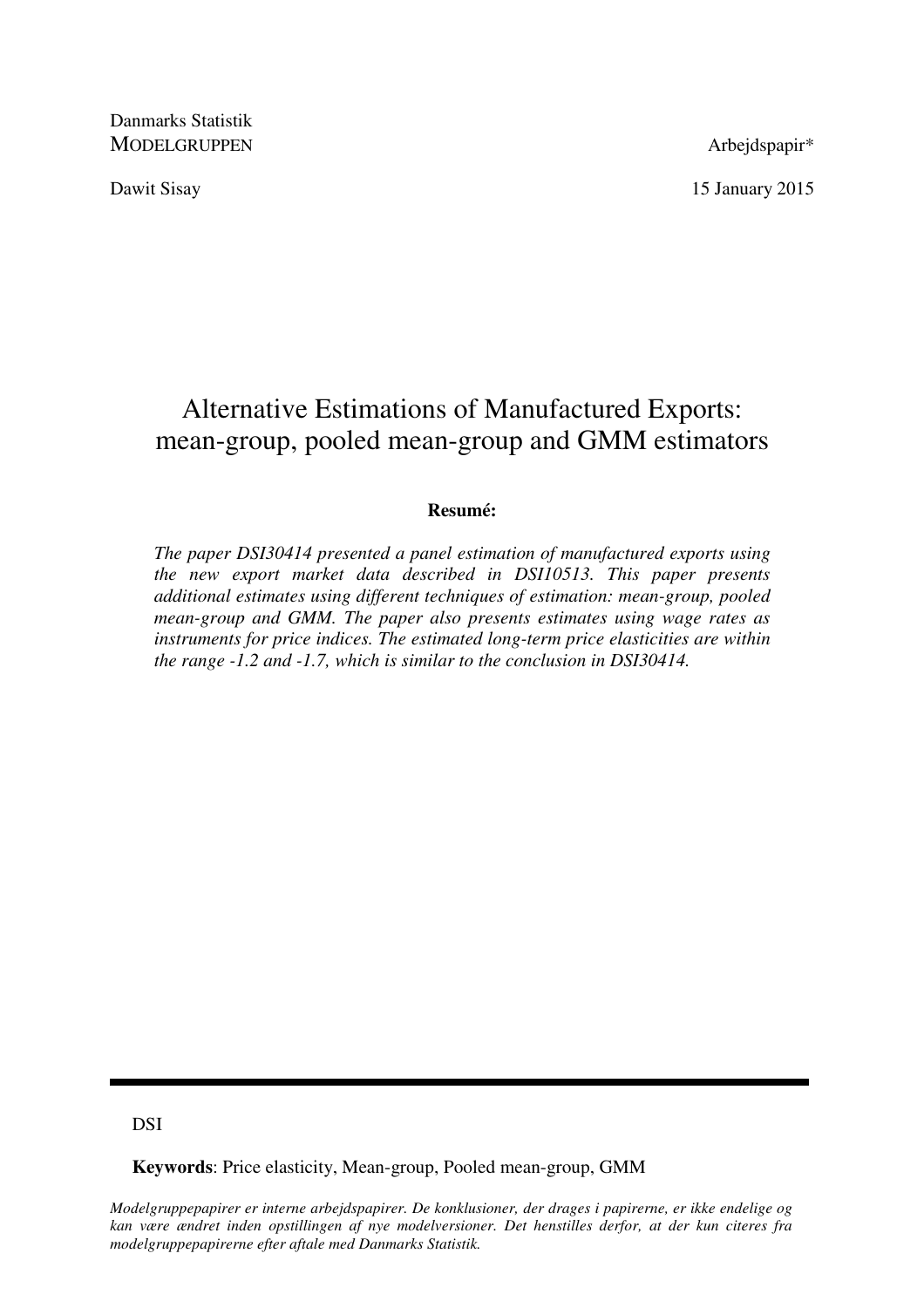Danmarks Statistik MODELGRUPPEN Arbeidspapir\*

Dawit Sisay 15 January 2015

# Alternative Estimations of Manufactured Exports: mean-group, pooled mean-group and GMM estimators

## **Resumé:**

*The paper DSI30414 presented a panel estimation of manufactured exports using the new export market data described in DSI10513. This paper presents additional estimates using different techniques of estimation: mean-group, pooled mean-group and GMM. The paper also presents estimates using wage rates as instruments for price indices. The estimated long-term price elasticities are within the range -1.2 and -1.7, which is similar to the conclusion in DSI30414.* 

## DSI

**Keywords**: Price elasticity, Mean-group, Pooled mean-group, GMM

*Modelgruppepapirer er interne arbejdspapirer. De konklusioner, der drages i papirerne, er ikke endelige og kan være ændret inden opstillingen af nye modelversioner. Det henstilles derfor, at der kun citeres fra modelgruppepapirerne efter aftale med Danmarks Statistik.*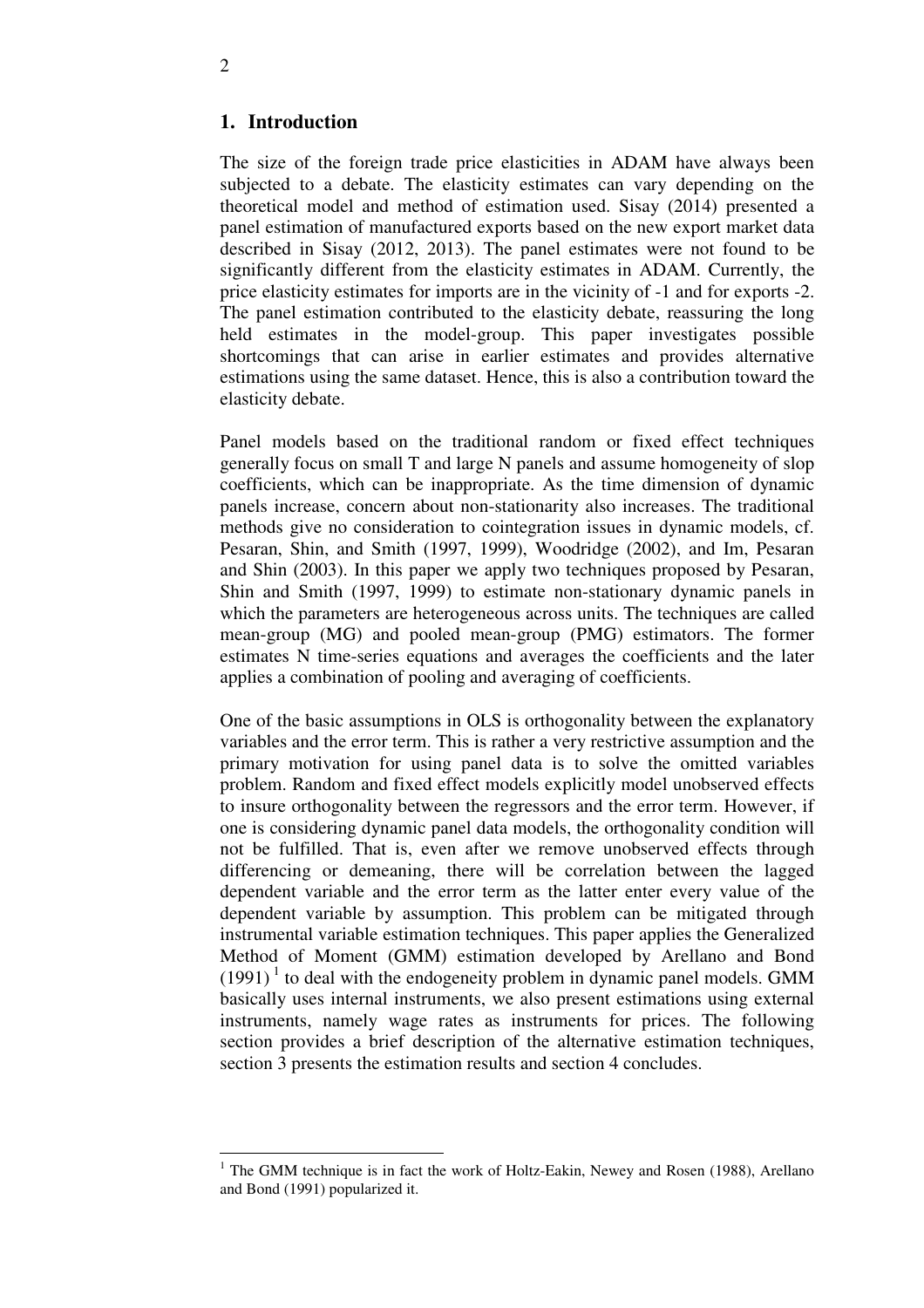## **1. Introduction**

The size of the foreign trade price elasticities in ADAM have always been subjected to a debate. The elasticity estimates can vary depending on the theoretical model and method of estimation used. Sisay (2014) presented a panel estimation of manufactured exports based on the new export market data described in Sisay (2012, 2013). The panel estimates were not found to be significantly different from the elasticity estimates in ADAM. Currently, the price elasticity estimates for imports are in the vicinity of -1 and for exports -2. The panel estimation contributed to the elasticity debate, reassuring the long held estimates in the model-group. This paper investigates possible shortcomings that can arise in earlier estimates and provides alternative estimations using the same dataset. Hence, this is also a contribution toward the elasticity debate.

Panel models based on the traditional random or fixed effect techniques generally focus on small T and large N panels and assume homogeneity of slop coefficients, which can be inappropriate. As the time dimension of dynamic panels increase, concern about non-stationarity also increases. The traditional methods give no consideration to cointegration issues in dynamic models, cf. Pesaran, Shin, and Smith (1997, 1999), Woodridge (2002), and Im, Pesaran and Shin (2003). In this paper we apply two techniques proposed by Pesaran, Shin and Smith (1997, 1999) to estimate non-stationary dynamic panels in which the parameters are heterogeneous across units. The techniques are called mean-group (MG) and pooled mean-group (PMG) estimators. The former estimates N time-series equations and averages the coefficients and the later applies a combination of pooling and averaging of coefficients.

One of the basic assumptions in OLS is orthogonality between the explanatory variables and the error term. This is rather a very restrictive assumption and the primary motivation for using panel data is to solve the omitted variables problem. Random and fixed effect models explicitly model unobserved effects to insure orthogonality between the regressors and the error term. However, if one is considering dynamic panel data models, the orthogonality condition will not be fulfilled. That is, even after we remove unobserved effects through differencing or demeaning, there will be correlation between the lagged dependent variable and the error term as the latter enter every value of the dependent variable by assumption. This problem can be mitigated through instrumental variable estimation techniques. This paper applies the Generalized Method of Moment (GMM) estimation developed by Arellano and Bond  $(1991)^1$  to deal with the endogeneity problem in dynamic panel models. GMM basically uses internal instruments, we also present estimations using external instruments, namely wage rates as instruments for prices. The following section provides a brief description of the alternative estimation techniques, section 3 presents the estimation results and section 4 concludes.

 $\overline{a}$ 

<sup>&</sup>lt;sup>1</sup> The GMM technique is in fact the work of Holtz-Eakin, Newey and Rosen (1988), Arellano and Bond (1991) popularized it.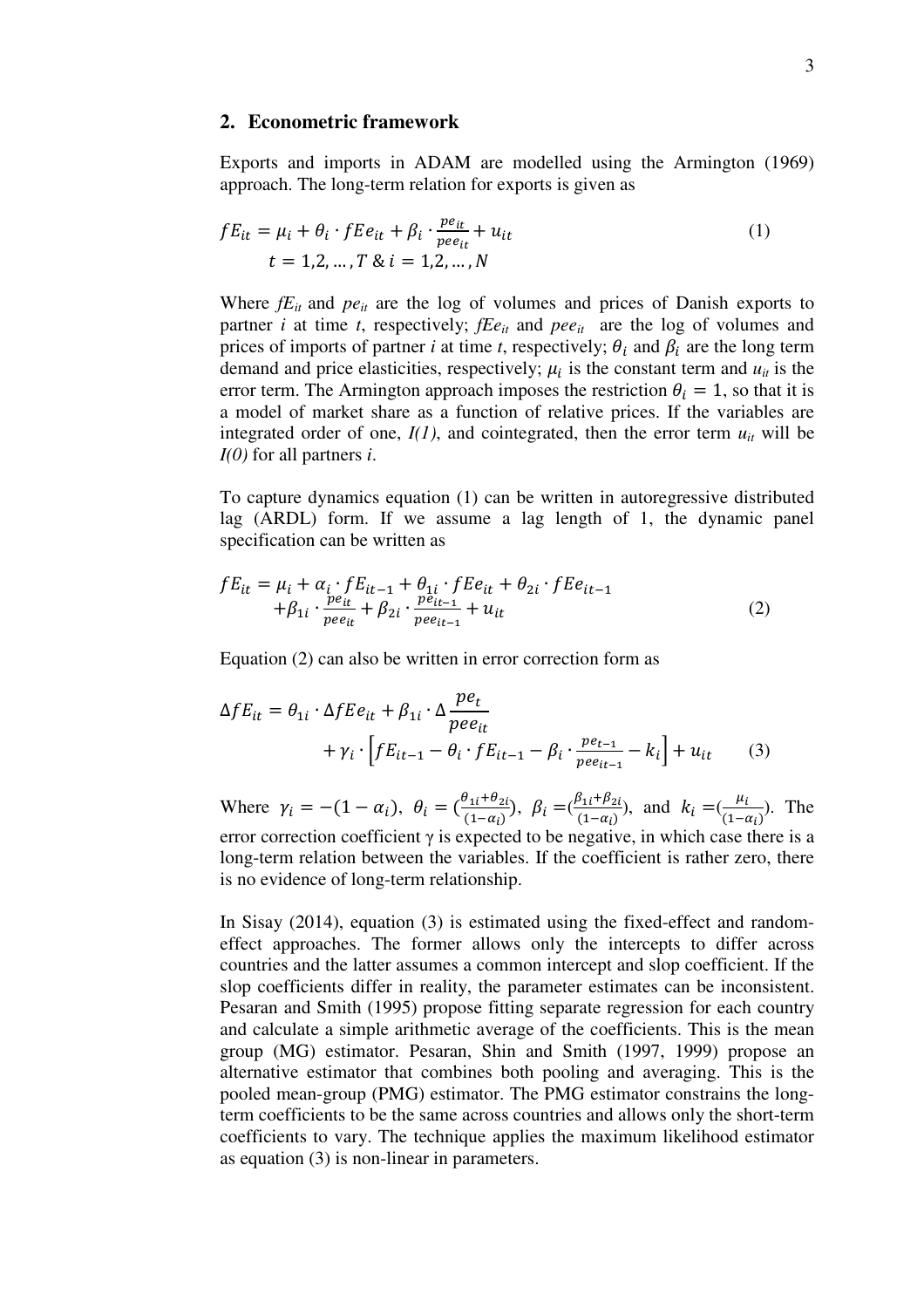#### **2. Econometric framework**

Exports and imports in ADAM are modelled using the Armington (1969) approach. The long-term relation for exports is given as

$$
fE_{it} = \mu_i + \theta_i \cdot fE e_{it} + \beta_i \cdot \frac{pe_{it}}{pee_{it}} + u_{it}
$$
  
\n
$$
t = 1, 2, ..., T \& i = 1, 2, ..., N
$$
 (1)

Where  $fE_{it}$  and  $pe_{it}$  are the log of volumes and prices of Danish exports to partner *i* at time *t*, respectively; *fEeit* and *peeit* are the log of volumes and prices of imports of partner *i* at time *t*, respectively;  $\theta_i$  and  $\beta_i$  are the long term demand and price elasticities, respectively;  $\mu_i$  is the constant term and  $u_{it}$  is the error term. The Armington approach imposes the restriction  $\theta_i = 1$ , so that it is a model of market share as a function of relative prices. If the variables are integrated order of one,  $I(1)$ , and cointegrated, then the error term  $u_{it}$  will be *I(0)* for all partners *i*.

To capture dynamics equation (1) can be written in autoregressive distributed lag (ARDL) form. If we assume a lag length of 1, the dynamic panel specification can be written as

$$
fE_{it} = \mu_i + \alpha_i \cdot fE_{it-1} + \theta_{1i} \cdot fE_{it} + \theta_{2i} \cdot fE_{it-1} + \beta_{1i} \cdot \frac{pe_{it}}{pee_{it}} + \beta_{2i} \cdot \frac{pe_{it-1}}{pee_{it-1}} + u_{it}
$$
 (2)

Equation (2) can also be written in error correction form as

$$
\Delta f E_{it} = \theta_{1i} \cdot \Delta f E e_{it} + \beta_{1i} \cdot \Delta \frac{p e_t}{p e e_{it}} + \gamma_i \cdot \left[ f E_{it-1} - \theta_i \cdot f E_{it-1} - \beta_i \cdot \frac{p e_{t-1}}{p e e_{it-1}} - k_i \right] + u_{it} \tag{3}
$$

Where  $\gamma_i = -(1 - \alpha_i), \ \theta_i = (\frac{\theta_{1i} + \theta_{2i}}{(1 - \alpha_i)})$ ,  $\beta_i = (\frac{\beta_{1i} + \beta_{2i}}{(1 - \alpha_i)})$  $\frac{B_{1i} + B_{2i}}{(1 - \alpha_i)}$ , and  $k_i = (\frac{\mu_i}{(1 - \alpha_i)})$  $\frac{\mu_l}{(1-\alpha_l)}$ ). The error correction coefficient  $\gamma$  is expected to be negative, in which case there is a long-term relation between the variables. If the coefficient is rather zero, there is no evidence of long-term relationship.

In Sisay (2014), equation (3) is estimated using the fixed-effect and randomeffect approaches. The former allows only the intercepts to differ across countries and the latter assumes a common intercept and slop coefficient. If the slop coefficients differ in reality, the parameter estimates can be inconsistent. Pesaran and Smith (1995) propose fitting separate regression for each country and calculate a simple arithmetic average of the coefficients. This is the mean group (MG) estimator. Pesaran, Shin and Smith (1997, 1999) propose an alternative estimator that combines both pooling and averaging. This is the pooled mean-group (PMG) estimator. The PMG estimator constrains the longterm coefficients to be the same across countries and allows only the short-term coefficients to vary. The technique applies the maximum likelihood estimator as equation (3) is non-linear in parameters.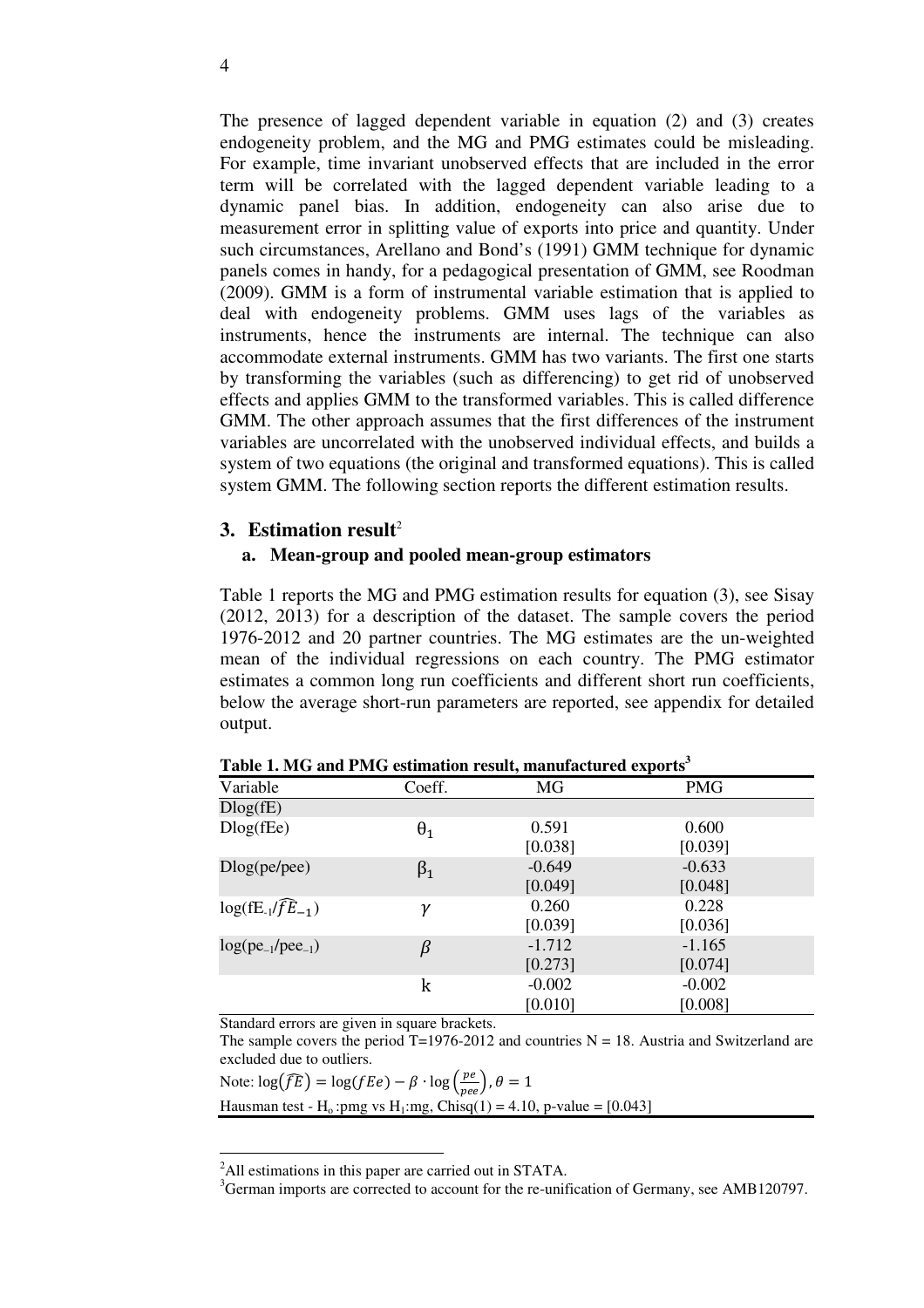The presence of lagged dependent variable in equation (2) and (3) creates endogeneity problem, and the MG and PMG estimates could be misleading. For example, time invariant unobserved effects that are included in the error term will be correlated with the lagged dependent variable leading to a dynamic panel bias. In addition, endogeneity can also arise due to measurement error in splitting value of exports into price and quantity. Under such circumstances, Arellano and Bond's (1991) GMM technique for dynamic panels comes in handy, for a pedagogical presentation of GMM, see Roodman (2009). GMM is a form of instrumental variable estimation that is applied to deal with endogeneity problems. GMM uses lags of the variables as instruments, hence the instruments are internal. The technique can also accommodate external instruments. GMM has two variants. The first one starts by transforming the variables (such as differencing) to get rid of unobserved effects and applies GMM to the transformed variables. This is called difference GMM. The other approach assumes that the first differences of the instrument variables are uncorrelated with the unobserved individual effects, and builds a system of two equations (the original and transformed equations). This is called system GMM. The following section reports the different estimation results.

### **3. Estimation result**<sup>2</sup>

### **a. Mean-group and pooled mean-group estimators**

Table 1 reports the MG and PMG estimation results for equation (3), see Sisay (2012, 2013) for a description of the dataset. The sample covers the period 1976-2012 and 20 partner countries. The MG estimates are the un-weighted mean of the individual regressions on each country. The PMG estimator estimates a common long run coefficients and different short run coefficients, below the average short-run parameters are reported, see appendix for detailed output.

|                              |            | $\overline{\phantom{a}}$ | л.         |
|------------------------------|------------|--------------------------|------------|
| Variable                     | Coeff.     | MG                       | <b>PMG</b> |
| Dlog(fE)                     |            |                          |            |
| $Dlog($ f $E$ e $)$          | $\theta_1$ | 0.591                    | 0.600      |
|                              |            | [0.038]                  | [0.039]    |
| Dlog(pe/pee)                 | $\beta_1$  | $-0.649$                 | $-0.633$   |
|                              |            | [0.049]                  | [0.048]    |
| $log(E_1/\widehat{fE}_{-1})$ | γ          | 0.260                    | 0.228      |
|                              |            | [0.039]                  | [0.036]    |
| $log(pe_{-1}/pee_{-1})$      | $\beta$    | $-1.712$                 | $-1.165$   |
|                              |            | [0.273]                  | [0.074]    |
|                              | k          | $-0.002$                 | $-0.002$   |
|                              |            | [0.010]                  | [0.008]    |

**Table 1. MG and PMG estimation result, manufactured exports<sup>3</sup>**

Standard errors are given in square brackets.

<u>.</u>

The sample covers the period  $T=1976-2012$  and countries N = 18. Austria and Switzerland are excluded due to outliers.

Note:  $\log(\widehat{fE}) = \log(fEe) - \beta \cdot \log\left(\frac{pe}{pee}\right), \theta = 1$ Hausman test - H<sub>o</sub>:pmg vs H<sub>1</sub>:mg, Chisq(1) = 4.10, p-value = [0.043]

<sup>&</sup>lt;sup>2</sup>All estimations in this paper are carried out in STATA.

<sup>&</sup>lt;sup>3</sup>German imports are corrected to account for the re-unification of Germany, see AMB120797.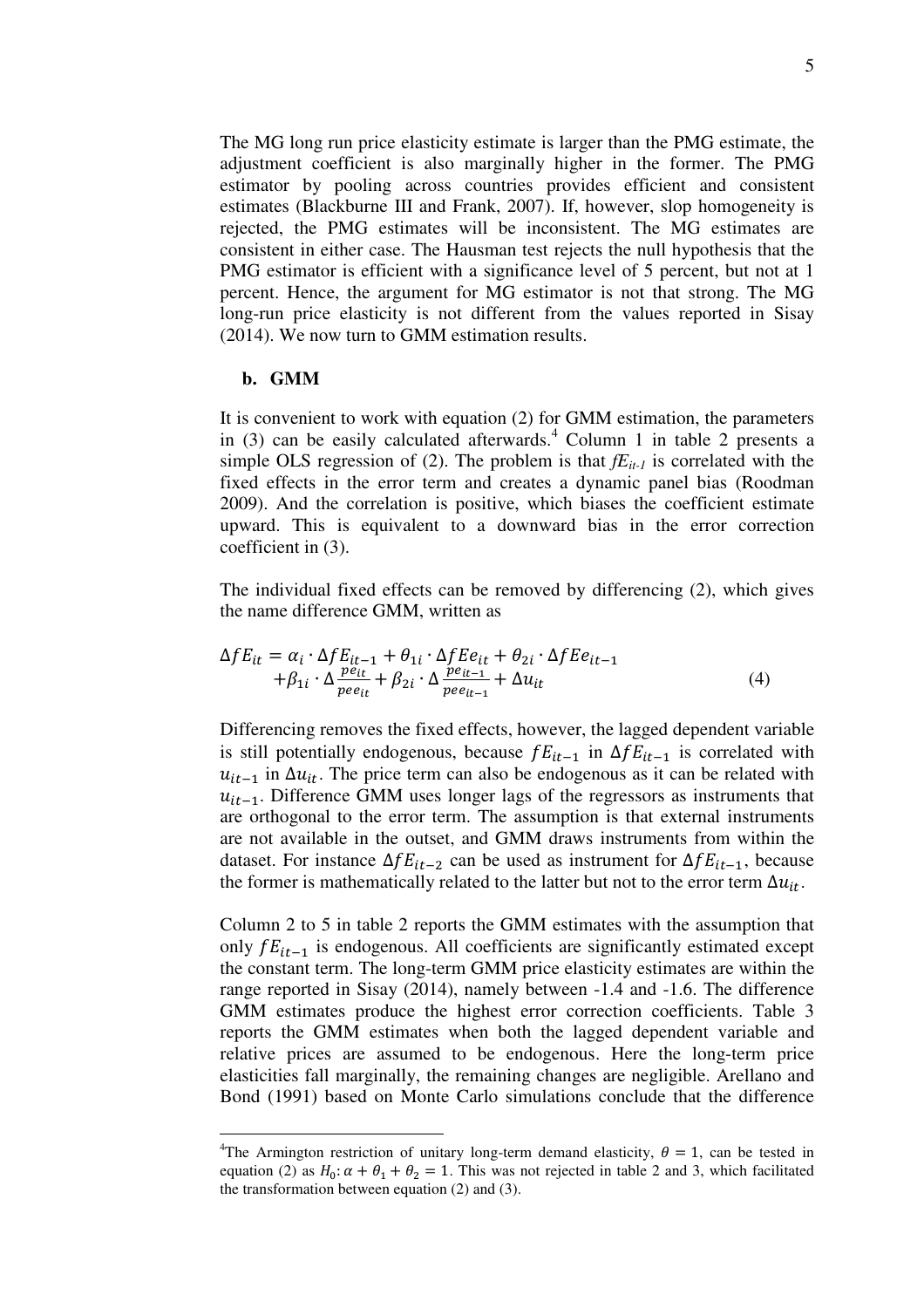The MG long run price elasticity estimate is larger than the PMG estimate, the adjustment coefficient is also marginally higher in the former. The PMG estimator by pooling across countries provides efficient and consistent estimates (Blackburne III and Frank, 2007). If, however, slop homogeneity is rejected, the PMG estimates will be inconsistent. The MG estimates are consistent in either case. The Hausman test rejects the null hypothesis that the PMG estimator is efficient with a significance level of 5 percent, but not at 1 percent. Hence, the argument for MG estimator is not that strong. The MG long-run price elasticity is not different from the values reported in Sisay (2014). We now turn to GMM estimation results.

#### **b. GMM**

-

It is convenient to work with equation (2) for GMM estimation, the parameters in (3) can be easily calculated afterwards.<sup>4</sup> Column 1 in table 2 presents a simple OLS regression of (2). The problem is that  $fE_{it-1}$  is correlated with the fixed effects in the error term and creates a dynamic panel bias (Roodman 2009). And the correlation is positive, which biases the coefficient estimate upward. This is equivalent to a downward bias in the error correction coefficient in (3).

The individual fixed effects can be removed by differencing (2), which gives the name difference GMM, written as

$$
\Delta f E_{it} = \alpha_i \cdot \Delta f E_{it-1} + \theta_{1i} \cdot \Delta f E e_{it} + \theta_{2i} \cdot \Delta f E e_{it-1} + \beta_{1i} \cdot \Delta \frac{p e_{it}}{p e_{it}} + \beta_{2i} \cdot \Delta \frac{p e_{it-1}}{p e e_{it-1}} + \Delta u_{it}
$$
(4)

Differencing removes the fixed effects, however, the lagged dependent variable is still potentially endogenous, because  $fE_{it-1}$  in  $\Delta fE_{it-1}$  is correlated with  $u_{it-1}$  in  $\Delta u_{it}$ . The price term can also be endogenous as it can be related with  $u_{it-1}$ . Difference GMM uses longer lags of the regressors as instruments that are orthogonal to the error term. The assumption is that external instruments are not available in the outset, and GMM draws instruments from within the dataset. For instance  $\Delta f E_{it-2}$  can be used as instrument for  $\Delta f E_{it-1}$ , because the former is mathematically related to the latter but not to the error term  $\Delta u_{it}$ .

Column 2 to 5 in table 2 reports the GMM estimates with the assumption that only  $fE_{it-1}$  is endogenous. All coefficients are significantly estimated except the constant term. The long-term GMM price elasticity estimates are within the range reported in Sisay (2014), namely between -1.4 and -1.6. The difference GMM estimates produce the highest error correction coefficients. Table 3 reports the GMM estimates when both the lagged dependent variable and relative prices are assumed to be endogenous. Here the long-term price elasticities fall marginally, the remaining changes are negligible. Arellano and Bond (1991) based on Monte Carlo simulations conclude that the difference

<sup>&</sup>lt;sup>4</sup>The Armington restriction of unitary long-term demand elasticity,  $\theta = 1$ , can be tested in equation (2) as  $H_0: \alpha + \theta_1 + \theta_2 = 1$ . This was not rejected in table 2 and 3, which facilitated the transformation between equation (2) and (3).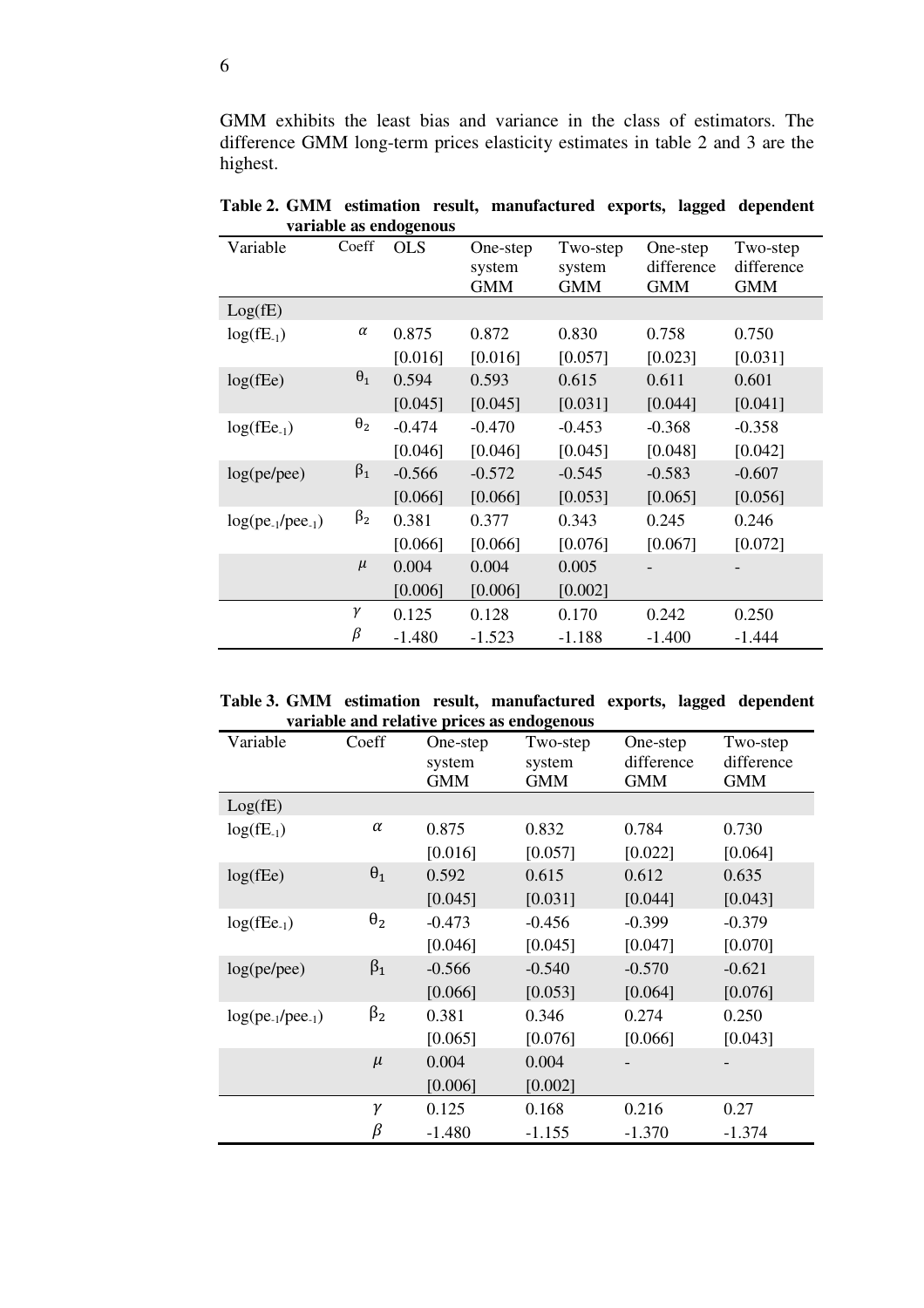GMM exhibits the least bias and variance in the class of estimators. The difference GMM long-term prices elasticity estimates in table 2 and 3 are the highest.

| Variable                     | Coeff      | <b>OLS</b> | One-step<br>system<br><b>GMM</b> | Two-step<br>system<br><b>GMM</b> | One-step<br>difference<br><b>GMM</b> | Two-step<br>difference<br><b>GMM</b> |
|------------------------------|------------|------------|----------------------------------|----------------------------------|--------------------------------------|--------------------------------------|
| Log(fE)                      |            |            |                                  |                                  |                                      |                                      |
| $log(fE_1)$                  | α          | 0.875      | 0.872                            | 0.830                            | 0.758                                | 0.750                                |
|                              |            | [0.016]    | [0.016]                          | [0.057]                          | [0.023]                              | [0.031]                              |
| $log($ fEe $)$               | $\theta_1$ | 0.594      | 0.593                            | 0.615                            | 0.611                                | 0.601                                |
|                              |            | [0.045]    | [0.045]                          | [0.031]                          | [0.044]                              | [0.041]                              |
| $log($ fEe <sub>-1</sub> $)$ | $\theta_2$ | $-0.474$   | $-0.470$                         | $-0.453$                         | $-0.368$                             | $-0.358$                             |
|                              |            | [0.046]    | [0.046]                          | [0.045]                          | [0.048]                              | [0.042]                              |
| log(pe/pee)                  | $\beta_1$  | $-0.566$   | $-0.572$                         | $-0.545$                         | $-0.583$                             | $-0.607$                             |
|                              |            | [0.066]    | [0.066]                          | [0.053]                          | [0.065]                              | [0.056]                              |
| $log(pe_{-1}/pee_{-1})$      | $\beta_2$  | 0.381      | 0.377                            | 0.343                            | 0.245                                | 0.246                                |
|                              |            | [0.066]    | [0.066]                          | [0.076]                          | [0.067]                              | [0.072]                              |
|                              | $\mu$      | 0.004      | 0.004                            | 0.005                            |                                      |                                      |
|                              |            | [0.006]    | [0.006]                          | [0.002]                          |                                      |                                      |
|                              | γ          | 0.125      | 0.128                            | 0.170                            | 0.242                                | 0.250                                |
|                              | $\beta$    | $-1.480$   | $-1.523$                         | $-1.188$                         | $-1.400$                             | $-1.444$                             |

**Table 2. GMM estimation result, manufactured exports, lagged dependent variable as endogenous** 

|  |  | Table 3. GMM estimation result, manufactured exports, lagged dependent |  |  |
|--|--|------------------------------------------------------------------------|--|--|
|  |  | variable and relative prices as endogenous                             |  |  |

| variable and relative prices as endogenous |            |                                  |                                  |                                      |                                      |  |  |  |  |
|--------------------------------------------|------------|----------------------------------|----------------------------------|--------------------------------------|--------------------------------------|--|--|--|--|
| Variable                                   | Coeff      | One-step<br>system<br><b>GMM</b> | Two-step<br>system<br><b>GMM</b> | One-step<br>difference<br><b>GMM</b> | Two-step<br>difference<br><b>GMM</b> |  |  |  |  |
| Log(fE)                                    |            |                                  |                                  |                                      |                                      |  |  |  |  |
| $log($ fE <sub>-1</sub> $)$                | $\alpha$   | 0.875                            | 0.832                            | 0.784                                | 0.730                                |  |  |  |  |
|                                            |            | [0.016]                          | [0.057]                          | [0.022]                              | [0.064]                              |  |  |  |  |
| $log($ fEe $)$                             | $\theta_1$ | 0.592                            | 0.615                            | 0.612                                | 0.635                                |  |  |  |  |
|                                            |            | [0.045]                          | [0.031]                          | [0.044]                              | [0.043]                              |  |  |  |  |
| $log($ fEe <sub>-1</sub> $)$               | $\theta_2$ | $-0.473$                         | $-0.456$                         | $-0.399$                             | $-0.379$                             |  |  |  |  |
|                                            |            | [0.046]                          | [0.045]                          | [0.047]                              | [0.070]                              |  |  |  |  |
| log(pe/pee)                                | $\beta_1$  | $-0.566$                         | $-0.540$                         | $-0.570$                             | $-0.621$                             |  |  |  |  |
|                                            |            | [0.066]                          | [0.053]                          | [0.064]                              | [0.076]                              |  |  |  |  |
| $log(pe_{-1}/pee_{-1})$                    | $\beta_2$  | 0.381                            | 0.346                            | 0.274                                | 0.250                                |  |  |  |  |
|                                            |            | [0.065]                          | [0.076]                          | [0.066]                              | [0.043]                              |  |  |  |  |
|                                            | $\mu$      | 0.004                            | 0.004                            |                                      |                                      |  |  |  |  |
|                                            |            | [0.006]                          | [0.002]                          |                                      |                                      |  |  |  |  |
|                                            | γ          | 0.125                            | 0.168                            | 0.216                                | 0.27                                 |  |  |  |  |
|                                            | β          | $-1.480$                         | $-1.155$                         | $-1.370$                             | $-1.374$                             |  |  |  |  |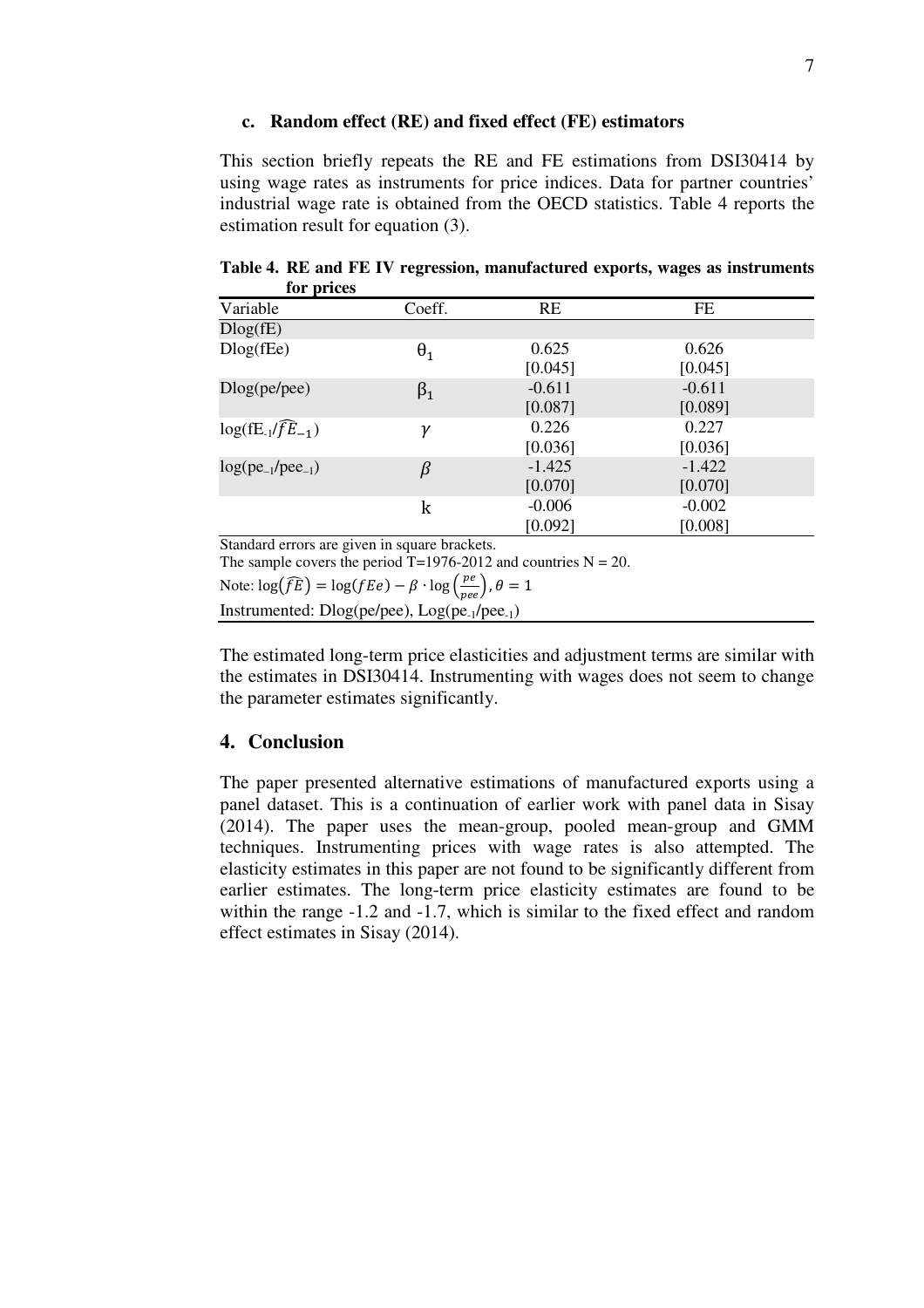#### **c. Random effect (RE) and fixed effect (FE) estimators**

This section briefly repeats the RE and FE estimations from DSI30414 by using wage rates as instruments for price indices. Data for partner countries' industrial wage rate is obtained from the OECD statistics. Table 4 reports the estimation result for equation (3).

| $101 \mu$                    |                                        |          |          |  |
|------------------------------|----------------------------------------|----------|----------|--|
| Variable                     | Coeff.                                 | RE       | FE       |  |
| Dlog(fE)                     |                                        |          |          |  |
| $Dlog($ f $Ee)$              | $\theta_1$                             | 0.625    | 0.626    |  |
|                              |                                        | [0.045]  | [0.045]  |  |
| Dlog(pe/pec)                 | $\beta_1$                              | $-0.611$ | $-0.611$ |  |
|                              |                                        | [0.087]  | [0.089]  |  |
| $log(E_1/\widehat{fE}_{-1})$ | γ                                      | 0.226    | 0.227    |  |
|                              |                                        | [0.036]  | [0.036]  |  |
| $log(pe_{-1}/pee_{-1})$      | β                                      | $-1.425$ | $-1.422$ |  |
|                              |                                        | [0.070]  | [0.070]  |  |
|                              | k                                      | $-0.006$ | $-0.002$ |  |
|                              |                                        | [0.092]  | [0.008]  |  |
| $\sim$ 1 1                   | $\mathbf{1}$ $\mathbf{1}$ $\mathbf{1}$ |          |          |  |

**Table 4. RE and FE IV regression, manufactured exports, wages as instruments for prices** 

Standard errors are given in square brackets. The sample covers the period  $T=1976-2012$  and countries  $N = 20$ . Note:  $\log(\widehat{fE}) = \log(fEe) - \beta \cdot \log(\frac{pe}{pee}), \theta = 1$ 

Instrumented: Dlog(pe/pee), Log(pe-1/pee-1)

The estimated long-term price elasticities and adjustment terms are similar with the estimates in DSI30414. Instrumenting with wages does not seem to change the parameter estimates significantly.

### **4. Conclusion**

The paper presented alternative estimations of manufactured exports using a panel dataset. This is a continuation of earlier work with panel data in Sisay (2014). The paper uses the mean-group, pooled mean-group and GMM techniques. Instrumenting prices with wage rates is also attempted. The elasticity estimates in this paper are not found to be significantly different from earlier estimates. The long-term price elasticity estimates are found to be within the range  $-1.2$  and  $-1.7$ , which is similar to the fixed effect and random effect estimates in Sisay (2014).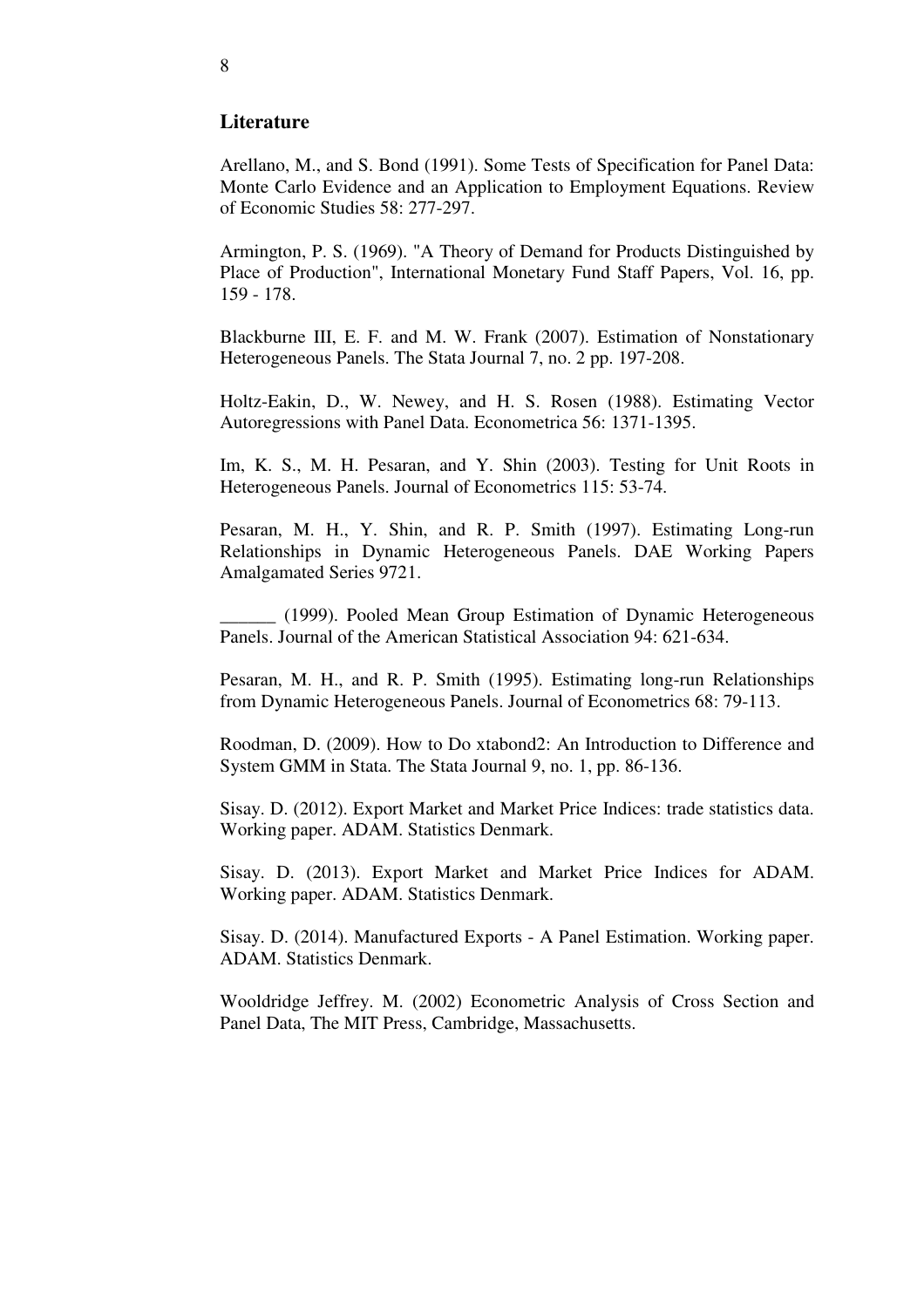### **Literature**

Arellano, M., and S. Bond (1991). Some Tests of Specification for Panel Data: Monte Carlo Evidence and an Application to Employment Equations. Review of Economic Studies 58: 277-297.

Armington, P. S. (1969). "A Theory of Demand for Products Distinguished by Place of Production", International Monetary Fund Staff Papers, Vol. 16, pp. 159 - 178.

Blackburne III, E. F. and M. W. Frank (2007). Estimation of Nonstationary Heterogeneous Panels. The Stata Journal 7, no. 2 pp. 197-208.

Holtz-Eakin, D., W. Newey, and H. S. Rosen (1988). Estimating Vector Autoregressions with Panel Data. Econometrica 56: 1371-1395.

Im, K. S., M. H. Pesaran, and Y. Shin (2003). Testing for Unit Roots in Heterogeneous Panels. Journal of Econometrics 115: 53-74.

Pesaran, M. H., Y. Shin, and R. P. Smith (1997). Estimating Long-run Relationships in Dynamic Heterogeneous Panels. DAE Working Papers Amalgamated Series 9721.

\_\_\_\_\_\_ (1999). Pooled Mean Group Estimation of Dynamic Heterogeneous Panels. Journal of the American Statistical Association 94: 621-634.

Pesaran, M. H., and R. P. Smith (1995). Estimating long-run Relationships from Dynamic Heterogeneous Panels. Journal of Econometrics 68: 79-113.

Roodman, D. (2009). How to Do xtabond2: An Introduction to Difference and System GMM in Stata. The Stata Journal 9, no. 1, pp. 86-136.

Sisay. D. (2012). Export Market and Market Price Indices: trade statistics data. Working paper. ADAM. Statistics Denmark.

Sisay. D. (2013). Export Market and Market Price Indices for ADAM. Working paper. ADAM. Statistics Denmark.

Sisay. D. (2014). Manufactured Exports - A Panel Estimation. Working paper. ADAM. Statistics Denmark.

Wooldridge Jeffrey. M. (2002) Econometric Analysis of Cross Section and Panel Data, The MIT Press, Cambridge, Massachusetts.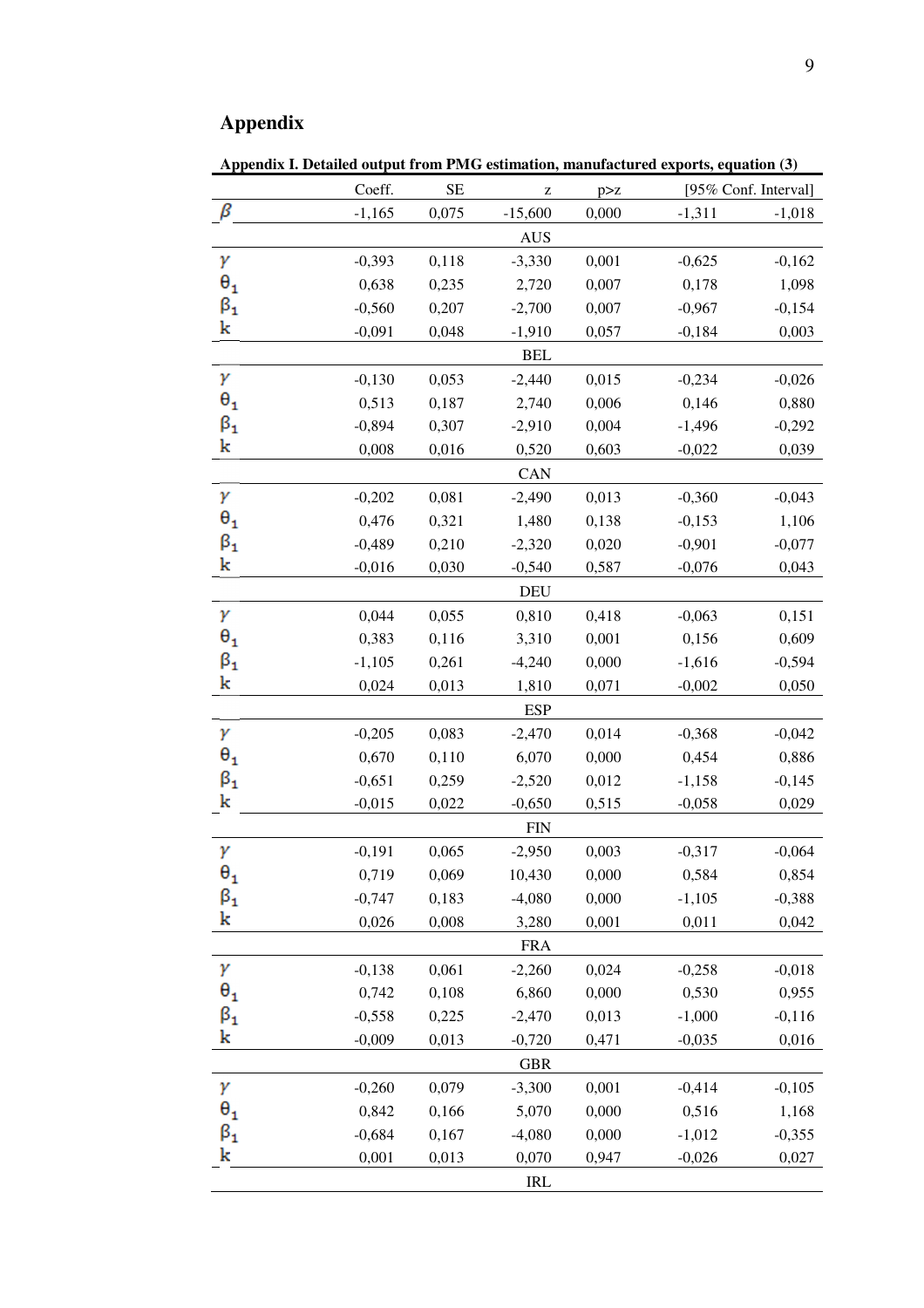# **Appendix**

**Appendix I. Detailed output from PMG estimation, manufactured exports, equation (3)** 

|                                 | Coeff.     | $\rm SE$ | Z          | p > z |          | [95% Conf. Interval] |  |  |  |  |
|---------------------------------|------------|----------|------------|-------|----------|----------------------|--|--|--|--|
| β                               | $-1,165$   | 0,075    | $-15,600$  | 0,000 | $-1,311$ | $-1,018$             |  |  |  |  |
|                                 |            |          | <b>AUS</b> |       |          |                      |  |  |  |  |
| γ                               | $-0,393$   | 0,118    | $-3,330$   | 0,001 | $-0,625$ | $-0,162$             |  |  |  |  |
| $\theta_1$                      | 0,638      | 0,235    | 2,720      | 0,007 | 0,178    | 1,098                |  |  |  |  |
| $\beta_{1}$                     | $-0,560$   | 0,207    | $-2,700$   | 0,007 | $-0,967$ | $-0,154$             |  |  |  |  |
| k                               | $-0,091$   | 0,048    | $-1,910$   | 0,057 | $-0,184$ | 0,003                |  |  |  |  |
|                                 | <b>BEL</b> |          |            |       |          |                      |  |  |  |  |
| γ                               | $-0,130$   | 0,053    | $-2,440$   | 0,015 | $-0,234$ | $-0,026$             |  |  |  |  |
| $\theta_{1}$                    | 0,513      | 0,187    | 2,740      | 0,006 | 0,146    | 0,880                |  |  |  |  |
| $\boldsymbol{\beta_1}$          | $-0,894$   | 0,307    | $-2,910$   | 0,004 | $-1,496$ | $-0,292$             |  |  |  |  |
| k                               | 0,008      | 0,016    | 0,520      | 0,603 | $-0,022$ | 0,039                |  |  |  |  |
|                                 |            |          | CAN        |       |          |                      |  |  |  |  |
| γ                               | $-0,202$   | 0,081    | $-2,490$   | 0,013 | $-0,360$ | $-0,043$             |  |  |  |  |
| $\bm{\theta}_\textbf{1}$        | 0,476      | 0,321    | 1,480      | 0,138 | $-0,153$ | 1,106                |  |  |  |  |
| $\boldsymbol{\beta}_1$          | $-0,489$   | 0,210    | $-2,320$   | 0,020 | $-0,901$ | $-0,077$             |  |  |  |  |
| k                               | $-0,016$   | 0,030    | $-0,540$   | 0,587 | $-0,076$ | 0,043                |  |  |  |  |
|                                 |            |          | <b>DEU</b> |       |          |                      |  |  |  |  |
| γ                               | 0,044      | 0,055    | 0,810      | 0,418 | $-0,063$ | 0,151                |  |  |  |  |
| $\theta_1$                      | 0,383      | 0,116    | 3,310      | 0,001 | 0,156    | 0,609                |  |  |  |  |
| $\beta_1$                       | $-1,105$   | 0,261    | $-4,240$   | 0,000 | $-1,616$ | $-0,594$             |  |  |  |  |
| k                               | 0,024      | 0,013    | 1,810      | 0,071 | $-0,002$ | 0,050                |  |  |  |  |
|                                 |            |          | <b>ESP</b> |       |          |                      |  |  |  |  |
| γ                               | $-0,205$   | 0,083    | $-2,470$   | 0,014 | $-0,368$ | $-0,042$             |  |  |  |  |
| $\theta_1$                      | 0,670      | 0,110    | 6,070      | 0,000 | 0,454    | 0,886                |  |  |  |  |
| $\boldsymbol{\beta}_\mathbf{1}$ | $-0,651$   | 0,259    | $-2,520$   | 0,012 | $-1,158$ | $-0,145$             |  |  |  |  |
| k                               | $-0,015$   | 0,022    | $-0,650$   | 0,515 | $-0,058$ | 0,029                |  |  |  |  |
|                                 |            |          | <b>FIN</b> |       |          |                      |  |  |  |  |
| γ                               | $-0,191$   | 0,065    | $-2,950$   | 0,003 | $-0,317$ | $-0,064$             |  |  |  |  |
| $\theta_{\bf 1}$                | 0,719      | 0,069    | 10,430     | 0,000 | 0,584    | 0,854                |  |  |  |  |
| $\boldsymbol{\beta}_1$          | $-0,747$   | 0,183    | $-4,080$   | 0,000 | $-1,105$ | $-0,388$             |  |  |  |  |
| k                               | 0,026      | 0,008    | 3,280      | 0,001 | 0,011    | 0,042                |  |  |  |  |
|                                 |            |          | <b>FRA</b> |       |          |                      |  |  |  |  |
| γ                               | $-0,138$   | 0,061    | $-2,260$   | 0,024 | $-0,258$ | $-0,018$             |  |  |  |  |
| $\theta_1$                      | 0,742      | 0,108    | 6,860      | 0,000 | 0,530    | 0,955                |  |  |  |  |
| $\boldsymbol{\beta}_1$          | $-0,558$   | 0,225    | $-2,470$   | 0,013 | $-1,000$ | $-0,116$             |  |  |  |  |
| k                               | $-0,009$   | 0,013    | $-0,720$   | 0,471 | $-0,035$ | 0,016                |  |  |  |  |
|                                 |            |          | <b>GBR</b> |       |          |                      |  |  |  |  |
| γ                               | $-0,260$   | 0,079    | $-3,300$   | 0,001 | $-0,414$ | $-0,105$             |  |  |  |  |
| $\theta_1$                      | 0,842      | 0,166    | 5,070      | 0,000 | 0,516    | 1,168                |  |  |  |  |
| $\frac{\beta_1}{k}$             | $-0,684$   | 0,167    | $-4,080$   | 0,000 | $-1,012$ | $-0,355$             |  |  |  |  |
|                                 | 0,001      | 0,013    | 0,070      | 0,947 | $-0,026$ | 0,027                |  |  |  |  |
|                                 |            |          | <b>IRL</b> |       |          |                      |  |  |  |  |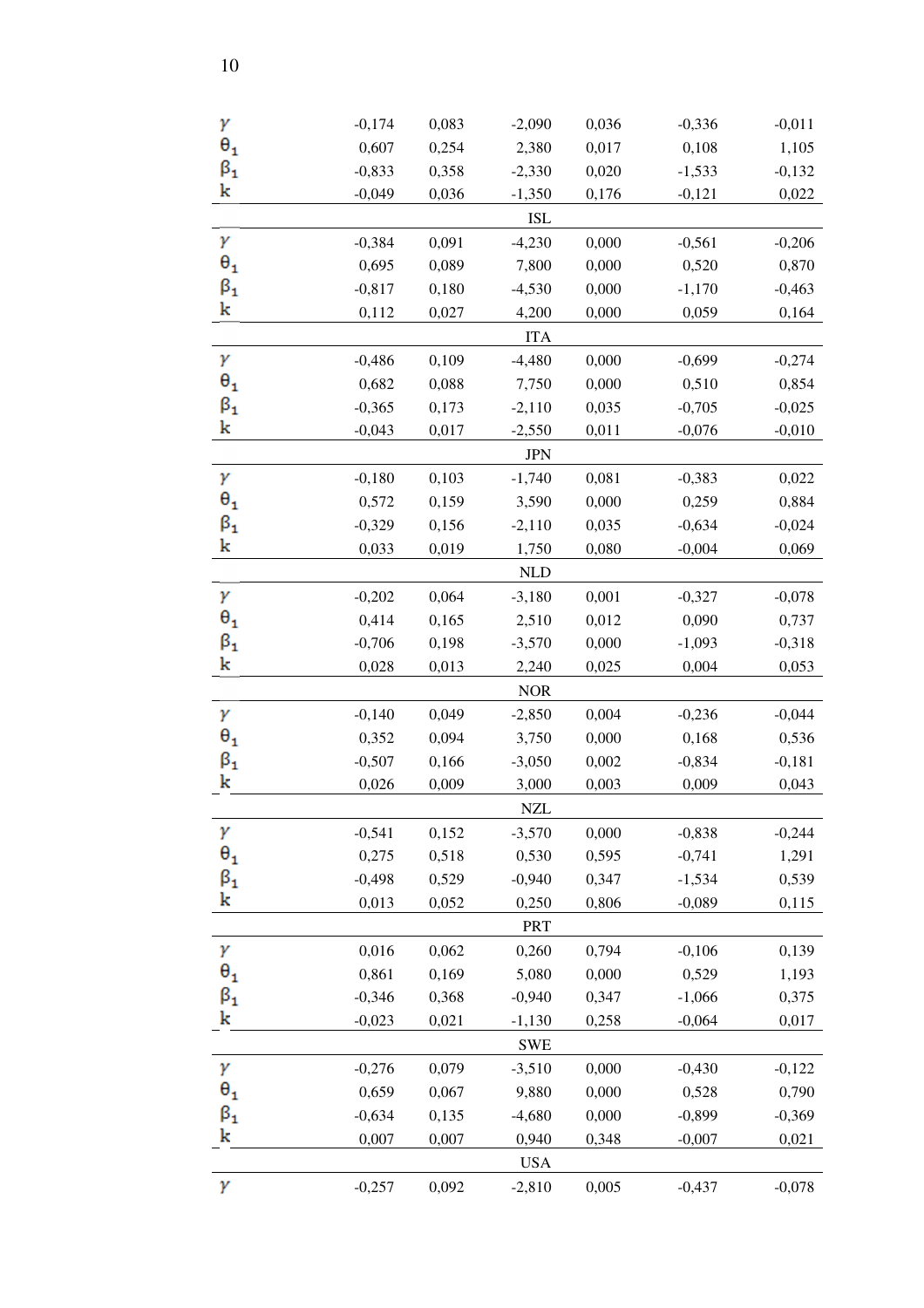| γ                               | $-0,174$ | 0,083 | $-2,090$   | 0,036 | $-0,336$ | $-0,011$ |
|---------------------------------|----------|-------|------------|-------|----------|----------|
| $\theta_1$                      | 0,607    | 0,254 | 2,380      | 0,017 | 0,108    | 1,105    |
| $\boldsymbol{\beta}_\mathbf{1}$ | $-0,833$ | 0,358 | $-2,330$   | 0,020 | $-1,533$ | $-0,132$ |
| k                               | $-0,049$ | 0,036 | $-1,350$   | 0,176 | $-0,121$ | 0,022    |
|                                 |          |       | <b>ISL</b> |       |          |          |
| γ                               | $-0,384$ | 0,091 | $-4,230$   | 0,000 | $-0,561$ | $-0,206$ |
| $\theta_1$                      | 0,695    | 0,089 | 7,800      | 0,000 | 0,520    | 0,870    |
| $\boldsymbol{\beta}_\textbf{1}$ | $-0,817$ | 0,180 | $-4,530$   | 0,000 | $-1,170$ | $-0,463$ |
| k                               | 0,112    | 0,027 | 4,200      | 0,000 | 0,059    | 0,164    |
|                                 |          |       | <b>ITA</b> |       |          |          |
| γ                               | $-0,486$ | 0,109 | $-4,480$   | 0,000 | $-0,699$ | $-0,274$ |
| $\bm{\theta}_\textbf{1}$        | 0,682    | 0,088 | 7,750      | 0,000 | 0,510    | 0,854    |
| $\boldsymbol{\beta}_1$          | $-0,365$ | 0,173 | $-2,110$   | 0,035 | $-0,705$ | $-0,025$ |
| k                               | $-0,043$ | 0,017 | $-2,550$   | 0,011 | $-0,076$ | $-0,010$ |
|                                 |          |       | <b>JPN</b> |       |          |          |
| γ                               | $-0,180$ | 0,103 | $-1,740$   | 0,081 | $-0,383$ | 0,022    |
| $\theta_1$                      | 0,572    | 0,159 | 3,590      | 0,000 | 0,259    | 0,884    |
| $\boldsymbol{\beta_1}$          | $-0,329$ | 0,156 | $-2,110$   | 0,035 | $-0,634$ | $-0,024$ |
| k                               | 0,033    | 0,019 | 1,750      | 0,080 | $-0,004$ | 0,069    |
|                                 |          |       | <b>NLD</b> |       |          |          |
| γ                               | $-0,202$ | 0,064 | $-3,180$   | 0,001 | $-0,327$ | $-0,078$ |
| $\theta_1$                      | 0,414    | 0,165 | 2,510      | 0,012 | 0,090    | 0,737    |
| $\boldsymbol{\beta}_\mathbf{1}$ | $-0,706$ | 0,198 | $-3,570$   | 0,000 | $-1,093$ | $-0,318$ |
| k                               | 0,028    | 0,013 | 2,240      | 0,025 | 0,004    | 0,053    |
|                                 |          |       | <b>NOR</b> |       |          |          |
| γ                               | $-0,140$ | 0,049 | $-2,850$   | 0,004 | $-0,236$ | $-0,044$ |
| $\bm{\theta_1}$                 | 0,352    | 0,094 | 3,750      | 0,000 | 0,168    | 0,536    |
| $\boldsymbol{\beta_1}$          | $-0,507$ | 0,166 | $-3,050$   | 0,002 | $-0,834$ | $-0,181$ |
| k                               | 0,026    | 0,009 | 3,000      | 0,003 | 0,009    | 0,043    |
|                                 |          |       | <b>NZL</b> |       |          |          |
| γ                               | $-0,541$ | 0,152 | $-3,570$   | 0,000 | $-0,838$ | $-0,244$ |
| $\theta_1$                      | 0,275    | 0,518 | 0,530      | 0,595 | $-0,741$ | 1,291    |
| $\boldsymbol{\beta}_1$          | $-0,498$ | 0,529 | $-0,940$   | 0,347 | $-1,534$ | 0,539    |
| k                               | 0,013    | 0,052 | 0,250      | 0,806 | $-0,089$ | 0,115    |
|                                 |          |       | PRT        |       |          |          |
| γ                               | 0,016    | 0,062 | 0,260      | 0,794 | $-0,106$ | 0,139    |
| $\bm{\theta_1}$                 | 0,861    | 0,169 | 5,080      | 0,000 | 0,529    | 1,193    |
| $\boldsymbol{\beta}_1$          | $-0,346$ | 0,368 | $-0,940$   | 0,347 | $-1,066$ | 0,375    |
| k                               | $-0,023$ | 0,021 | $-1,130$   | 0,258 | $-0,064$ | 0,017    |
|                                 |          |       | <b>SWE</b> |       |          |          |
| γ                               | $-0,276$ | 0,079 | $-3,510$   | 0,000 | $-0,430$ | $-0,122$ |
| $\bm{\theta_1}$                 | 0,659    | 0,067 | 9,880      | 0,000 | 0,528    | 0,790    |
| $\beta_1$                       | $-0,634$ | 0,135 | $-4,680$   | 0,000 | $-0,899$ | $-0,369$ |
| k                               | 0,007    | 0,007 | 0,940      | 0,348 | $-0,007$ | 0,021    |
|                                 |          |       | <b>USA</b> |       |          |          |
| γ                               | $-0,257$ | 0,092 | $-2,810$   | 0,005 | $-0,437$ | $-0,078$ |
|                                 |          |       |            |       |          |          |